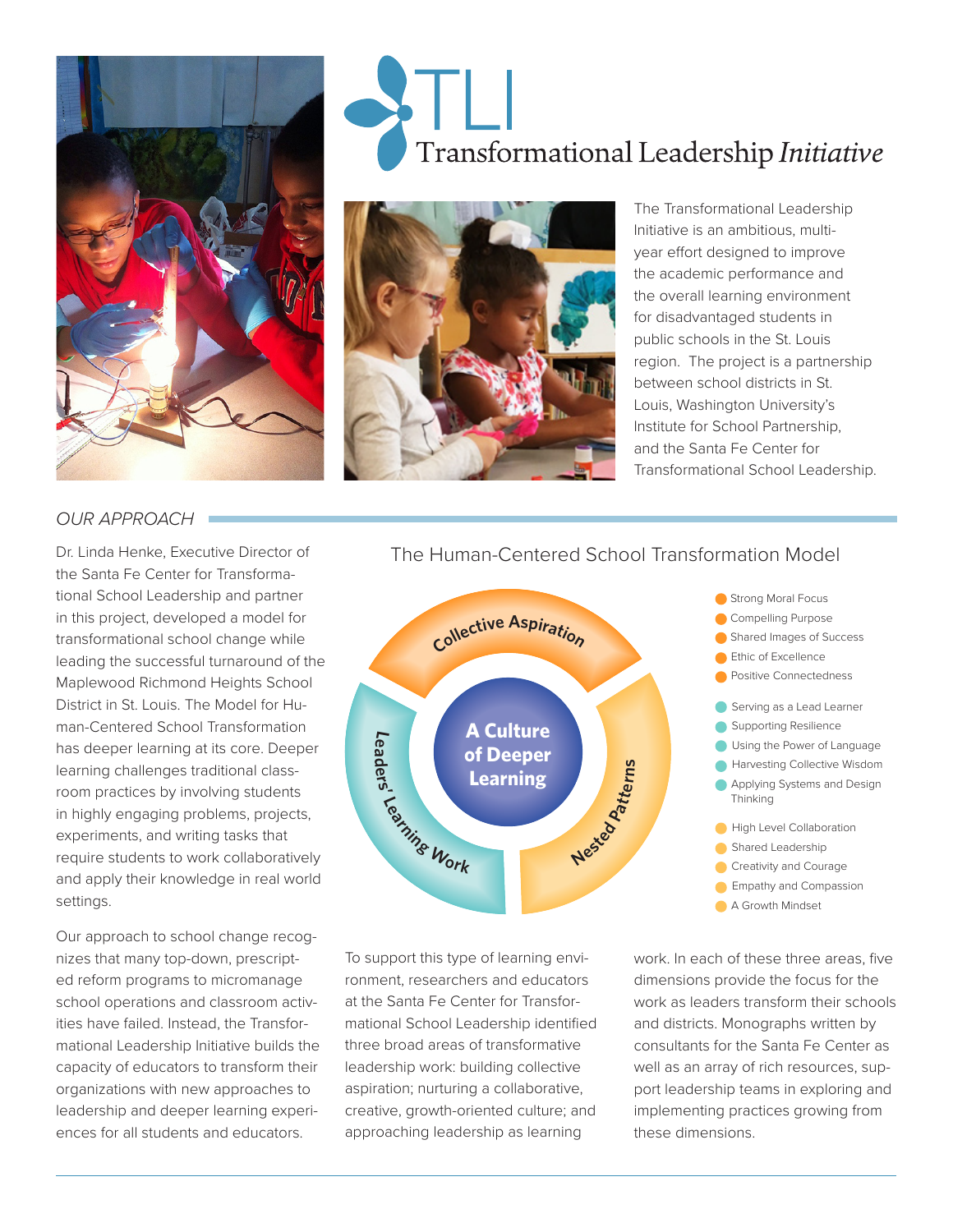

# Transformational Leadership Initiative



The Transformational Leadership Initiative is an ambitious, multiyear effort designed to improve the academic performance and the overall learning environment for disadvantaged students in public schools in the St. Louis region. The project is a partnership between school districts in St. Louis, Washington University's Institute for School Partnership, and the Santa Fe Center for Transformational School Leadership.

### *OUR APPROACH*

Dr. Linda Henke, Executive Director of the Santa Fe Center for Transformational School Leadership and partner in this project, developed a model for transformational school change while leading the successful turnaround of the Maplewood Richmond Heights School District in St. Louis. The Model for Human-Centered School Transformation has deeper learning at its core. Deeper learning challenges traditional classroom practices by involving students in highly engaging problems, projects, experiments, and writing tasks that require students to work collaboratively and apply their knowledge in real world settings.

Our approach to school change recognizes that many top-down, prescripted reform programs to micromanage school operations and classroom activities have failed. Instead, the Transformational Leadership Initiative builds the capacity of educators to transform their organizations with new approaches to leadership and deeper learning experiences for all students and educators.

# The Human-Centered School Transformation Model



To support this type of learning environment, researchers and educators at the Santa Fe Center for Transformational School Leadership identified three broad areas of transformative leadership work: building collective aspiration; nurturing a collaborative, creative, growth-oriented culture; and approaching leadership as learning

work. In each of these three areas, five dimensions provide the focus for the work as leaders transform their schools and districts. Monographs written by consultants for the Santa Fe Center as well as an array of rich resources, support leadership teams in exploring and implementing practices growing from these dimensions.